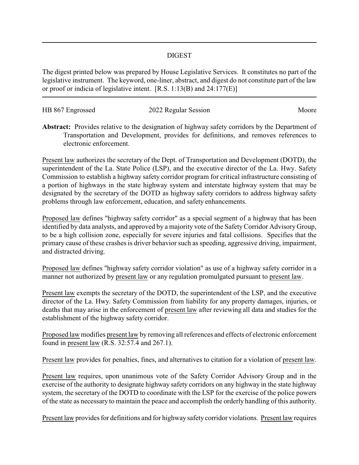## DIGEST

The digest printed below was prepared by House Legislative Services. It constitutes no part of the legislative instrument. The keyword, one-liner, abstract, and digest do not constitute part of the law or proof or indicia of legislative intent. [R.S. 1:13(B) and 24:177(E)]

| HB 867 Engrossed | 2022 Regular Session | Moore |
|------------------|----------------------|-------|
|                  |                      |       |

**Abstract:** Provides relative to the designation of highway safety corridors by the Department of Transportation and Development, provides for definitions, and removes references to electronic enforcement.

Present law authorizes the secretary of the Dept. of Transportation and Development (DOTD), the superintendent of the La. State Police (LSP), and the executive director of the La. Hwy. Safety Commission to establish a highway safety corridor program for critical infrastructure consisting of a portion of highways in the state highway system and interstate highway system that may be designated by the secretary of the DOTD as highway safety corridors to address highway safety problems through law enforcement, education, and safety enhancements.

Proposed law defines "highway safety corridor" as a special segment of a highway that has been identified by data analysts, and approved by a majority vote of the Safety Corridor Advisory Group, to be a high collision zone, especially for severe injuries and fatal collisions. Specifies that the primary cause of these crashes is driver behavior such as speeding, aggressive driving, impairment, and distracted driving.

Proposed law defines "highway safety corridor violation" as use of a highway safety corridor in a manner not authorized by present law or any regulation promulgated pursuant to present law.

Present law exempts the secretary of the DOTD, the superintendent of the LSP, and the executive director of the La. Hwy. Safety Commission from liability for any property damages, injuries, or deaths that may arise in the enforcement of present law after reviewing all data and studies for the establishment of the highway safety corridor.

Proposed law modifies present law by removing all references and effects of electronic enforcement found in present law (R.S. 32:57.4 and 267.1).

Present law provides for penalties, fines, and alternatives to citation for a violation of present law.

Present law requires, upon unanimous vote of the Safety Corridor Advisory Group and in the exercise of the authority to designate highway safety corridors on any highway in the state highway system, the secretary of the DOTD to coordinate with the LSP for the exercise of the police powers of the state as necessary to maintain the peace and accomplish the orderly handling of this authority.

Present law provides for definitions and for highway safety corridor violations. Present law requires